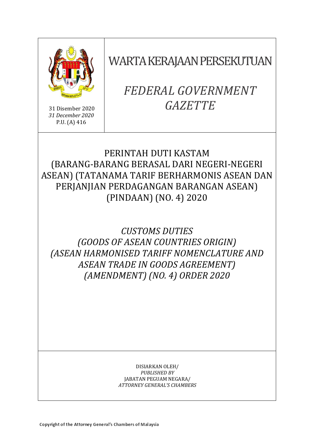

31 Disember 2020 *31 December 2020* P.U. (A) 416

WARTA KERAJAAN PERSEKUTUAN

# *FEDERAL GOVERNMENT GAZETTE*

# PERINTAH DUTI KASTAM (BARANG-BARANG BERASAL DARI NEGERI-NEGERI ASEAN) (TATANAMA TARIF BERHARMONIS ASEAN DAN PERJANJIAN PERDAGANGAN BARANGAN ASEAN) (PINDAAN) (NO. 4) 2020

*CUSTOMS DUTIES (GOODS OF ASEAN COUNTRIES ORIGIN) (ASEAN HARMONISED TARIFF NOMENCLATURE AND ASEAN TRADE IN GOODS AGREEMENT) (AMENDMENT) (NO. 4) ORDER 2020*

> DISIARKAN OLEH/ *PUBLISHED BY* JABATAN PEGUAM NEGARA/ *ATTORNEY GENERAL'S CHAMBERS*

Copyright of the Attorney General's Chambers of Malaysia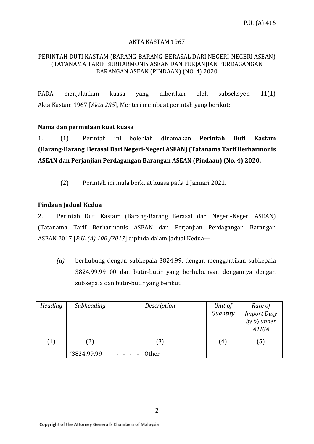#### AKTA KASTAM 1967

#### PERINTAH DUTI KASTAM (BARANG-BARANG BERASAL DARI NEGERI-NEGERI ASEAN) (TATANAMA TARIF BERHARMONIS ASEAN DAN PERJANJIAN PERDAGANGAN BARANGAN ASEAN (PINDAAN) (NO. 4) 2020

PADA menjalankan kuasa yang diberikan oleh subseksyen 11(1) Akta Kastam 1967 [*Akta 235*], Menteri membuat perintah yang berikut:

#### **Nama dan permulaan kuat kuasa**

1. (1) Perintah ini bolehlah dinamakan **Perintah Duti Kastam (Barang-Barang Berasal Dari Negeri-Negeri ASEAN) (Tatanama Tarif Berharmonis ASEAN dan Perjanjian Perdagangan Barangan ASEAN (Pindaan) (No. 4) 2020.**

(2) Perintah ini mula berkuat kuasa pada 1 Januari 2021.

#### **Pindaan Jadual Kedua**

2. Perintah Duti Kastam (Barang-Barang Berasal dari Negeri-Negeri ASEAN) (Tatanama Tarif Berharmonis ASEAN dan Perjanjian Perdagangan Barangan ASEAN 2017 [*P.U. (A) 100 /2017*] dipinda dalam Jadual Kedua—

*(a)* berhubung dengan subkepala 3824.99, dengan menggantikan subkepala 3824.99.99 00 dan butir-butir yang berhubungan dengannya dengan subkepala dan butir-butir yang berikut:

| Heading | Subheading  | Description | Unit of  | Rate of                    |
|---------|-------------|-------------|----------|----------------------------|
|         |             |             | Quantity | <b>Import Duty</b>         |
|         |             |             |          | by % under<br><b>ATIGA</b> |
| (1)     | (2)         | [3]         | (4)      | (5)                        |
|         | "3824.99.99 | Other:      |          |                            |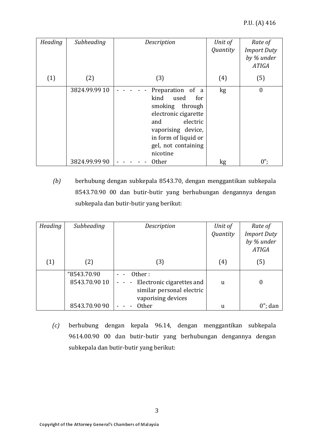| Heading | Subheading    | Description                                                                                                                                                                            | Unit of<br>Quantity | Rate of<br><b>Import Duty</b><br>by % under<br><b>ATIGA</b> |
|---------|---------------|----------------------------------------------------------------------------------------------------------------------------------------------------------------------------------------|---------------------|-------------------------------------------------------------|
| (1)     | (2)           | (3)                                                                                                                                                                                    | (4)                 | (5)                                                         |
|         | 3824.99.99 10 | Preparation of a<br>kind<br>used<br>for<br>smoking through<br>electronic cigarette<br>electric<br>and<br>vaporising device,<br>in form of liquid or<br>gel, not containing<br>nicotine | kg                  | $\boldsymbol{0}$                                            |
|         | 3824.99.99 90 | <b>Other</b>                                                                                                                                                                           | kg                  | $0$ ";                                                      |

*(b)* berhubung dengan subkepala 8543.70, dengan menggantikan subkepala 8543.70.90 00 dan butir-butir yang berhubungan dengannya dengan subkepala dan butir-butir yang berikut:

| Heading | Subheading                   | Description                                                                            | Unit of<br>Quantity | Rate of<br><b>Import Duty</b><br>by % under<br><b>ATIGA</b> |
|---------|------------------------------|----------------------------------------------------------------------------------------|---------------------|-------------------------------------------------------------|
| (1)     | (2)                          | (3)                                                                                    | (4)                 | (5)                                                         |
|         | "8543.70.90<br>8543.70.90 10 | Other:<br>Electronic cigarettes and<br>similar personal electric<br>vaporising devices | u                   | 0                                                           |
|         | 8543.70.90 90                | <b>Other</b>                                                                           | u                   | $0$ "; dan                                                  |

*(c)* berhubung dengan kepala 96.14, dengan menggantikan subkepala 9614.00.90 00 dan butir-butir yang berhubungan dengannya dengan subkepala dan butir-butir yang berikut: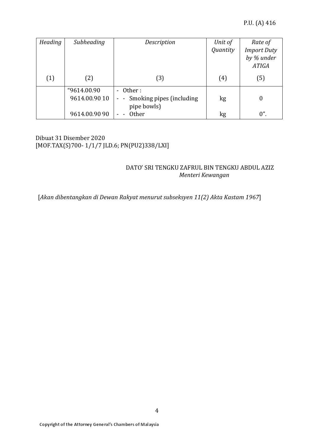| Heading | Subheading                   | Description                                                           | Unit of  | Rate of                                          |
|---------|------------------------------|-----------------------------------------------------------------------|----------|--------------------------------------------------|
|         |                              |                                                                       | Quantity | <b>Import Duty</b><br>by % under<br><b>ATIGA</b> |
| (1)     | (2)                          | (3)                                                                   | (4)      | (5)                                              |
|         | "9614.00.90<br>9614.00.90 10 | - Other:<br>Smoking pipes (including<br>$\sim$ $ \sim$<br>pipe bowls) | kg       | $\Omega$                                         |
|         | 9614.00.90 90                | <b>Other</b>                                                          | kg       | $0$ ".                                           |

# Dibuat 31 Disember 2020 [MOF.TAX(S)700- 1/1/7 JLD.6; PN(PU2)338/LXI]

# DATO' SRI TENGKU ZAFRUL BIN TENGKU ABDUL AZIZ  *Menteri Kewangan*

[*Akan dibentangkan di Dewan Rakyat menurut subseksyen 11(2) Akta Kastam 1967*]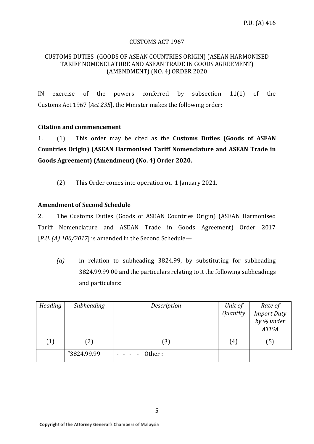#### CUSTOMS ACT 1967

#### CUSTOMS DUTIES (GOODS OF ASEAN COUNTRIES ORIGIN) (ASEAN HARMONISED TARIFF NOMENCLATURE AND ASEAN TRADE IN GOODS AGREEMENT) (AMENDMENT) (NO. 4) ORDER 2020

IN exercise of the powers conferred by subsection 11(1) of the Customs Act 1967 [*Act 235*], the Minister makes the following order:

# **Citation and commencement**

1. (1) This order may be cited as the **Customs Duties (Goods of ASEAN Countries Origin) (ASEAN Harmonised Tariff Nomenclature and ASEAN Trade in Goods Agreement) (Amendment) (No. 4) Order 2020.**

(2) This Order comes into operation on 1 January 2021.

# **Amendment of Second Schedule**

2. The Customs Duties (Goods of ASEAN Countries Origin) (ASEAN Harmonised Tariff Nomenclature and ASEAN Trade in Goods Agreement) Order 2017 [*P.U. (A) 100/2017*] is amended in the Second Schedule—

*(a)* in relation to subheading 3824.99, by substituting for subheading 3824.99.99 00 and the particulars relating to it the following subheadings and particulars:

| Heading | Subheading  | Description | Unit of  | Rate of            |
|---------|-------------|-------------|----------|--------------------|
|         |             |             | Quantity | <b>Import Duty</b> |
|         |             |             |          | by % under         |
|         |             |             |          | <b>ATIGA</b>       |
| (1)     | (2)         | (3)         | (4)      | (5)                |
|         | "3824.99.99 | Other:      |          |                    |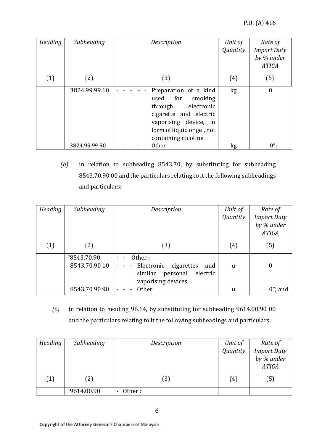| Heading | Subheading    | Description                                                                                                                                                                      | Unit of<br>Quantity | Rate of<br><b>Import Duty</b> |
|---------|---------------|----------------------------------------------------------------------------------------------------------------------------------------------------------------------------------|---------------------|-------------------------------|
|         |               |                                                                                                                                                                                  |                     | by % under<br><b>ATIGA</b>    |
| (1)     | (2)           | (3)                                                                                                                                                                              | (4)                 | (5)                           |
|         | 3824.99.99 10 | Preparation of a kind<br>for<br>smoking<br>used<br>through<br>electronic<br>cigarette and electric<br>vaporising device, in<br>form of liquid or gel, not<br>containing nicotine | kg                  | $\boldsymbol{0}$              |
|         | 3824.99.99 90 | <b>Other</b>                                                                                                                                                                     | kg                  | $0$ ";                        |

*(b)* in relation to subheading 8543.70, by substituting for subheading 8543.70.90 00 and the particulars relating to it the following subheadings and particulars:

| Heading | Subheading                   | Description                                                                                          | Unit of     | Rate of                                          |
|---------|------------------------------|------------------------------------------------------------------------------------------------------|-------------|--------------------------------------------------|
|         |                              |                                                                                                      | Quantity    | <b>Import Duty</b><br>by % under<br><b>ATIGA</b> |
| (1)     | (2)                          | (3)                                                                                                  | (4)         | (5)                                              |
|         | "8543.70.90<br>8543.70.90 10 | Other:<br>- Electronic<br>cigarettes<br>and<br>electric<br>similar<br>personal<br>vaporising devices | $\mathbf u$ | $\boldsymbol{0}$                                 |
|         | 8543.70.90 90                | <b>Other</b>                                                                                         | u           | $0$ "; and                                       |

*(c)* in relation to heading 96.14, by substituting for subheading 9614.00.90 00 and the particulars relating to it the following subheadings and particulars:

| Heading | Subheading  | Description | Unit of  | Rate of                    |
|---------|-------------|-------------|----------|----------------------------|
|         |             |             | Quantity | <b>Import Duty</b>         |
|         |             |             |          | by % under<br><b>ATIGA</b> |
| (1)     | (2)         | (3)         | (4)      | (5)                        |
|         | "9614.00.90 | Other:      |          |                            |